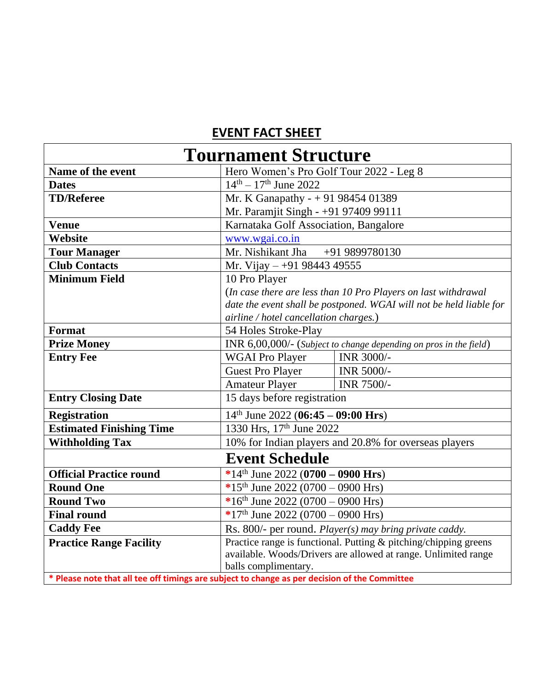## **EVENT FACT SHEET**

| <b>Tournament Structure</b>                                                                   |                                                                     |            |  |
|-----------------------------------------------------------------------------------------------|---------------------------------------------------------------------|------------|--|
| Name of the event                                                                             | Hero Women's Pro Golf Tour 2022 - Leg 8                             |            |  |
| <b>Dates</b>                                                                                  | $14^{\text{th}} - 17^{\text{th}}$ June 2022                         |            |  |
| <b>TD/Referee</b>                                                                             | Mr. K Ganapathy - + 91 98454 01389                                  |            |  |
|                                                                                               | Mr. Paramjit Singh - +91 97409 99111                                |            |  |
| <b>Venue</b>                                                                                  | Karnataka Golf Association, Bangalore                               |            |  |
| Website                                                                                       | www.wgai.co.in                                                      |            |  |
| <b>Tour Manager</b>                                                                           | Mr. Nishikant Jha<br>+91 9899780130                                 |            |  |
| <b>Club Contacts</b>                                                                          | Mr. Vijay - +91 98443 49555                                         |            |  |
| <b>Minimum Field</b>                                                                          | 10 Pro Player                                                       |            |  |
|                                                                                               | (In case there are less than 10 Pro Players on last withdrawal      |            |  |
|                                                                                               | date the event shall be postponed. WGAI will not be held liable for |            |  |
|                                                                                               | airline / hotel cancellation charges.)                              |            |  |
| Format                                                                                        | 54 Holes Stroke-Play                                                |            |  |
| <b>Prize Money</b>                                                                            | INR 6,00,000/- (Subject to change depending on pros in the field)   |            |  |
| <b>Entry Fee</b>                                                                              | <b>WGAI Pro Player</b>                                              | INR 3000/- |  |
|                                                                                               | <b>Guest Pro Player</b>                                             | INR 5000/- |  |
|                                                                                               | <b>Amateur Player</b>                                               | INR 7500/- |  |
| <b>Entry Closing Date</b>                                                                     | 15 days before registration                                         |            |  |
| <b>Registration</b>                                                                           | $14th$ June 2022 (06:45 – 09:00 Hrs)                                |            |  |
| <b>Estimated Finishing Time</b>                                                               | 1330 Hrs, 17th June 2022                                            |            |  |
| <b>Withholding Tax</b>                                                                        | 10% for Indian players and 20.8% for overseas players               |            |  |
| <b>Event Schedule</b>                                                                         |                                                                     |            |  |
| <b>Official Practice round</b>                                                                | *14 <sup>th</sup> June 2022 (0700 – 0900 Hrs)                       |            |  |
| <b>Round One</b>                                                                              | *15 <sup>th</sup> June 2022 (0700 – 0900 Hrs)                       |            |  |
| <b>Round Two</b>                                                                              | *16 <sup>th</sup> June 2022 (0700 – 0900 Hrs)                       |            |  |
| <b>Final round</b>                                                                            | *17 <sup>th</sup> June 2022 (0700 – 0900 Hrs)                       |            |  |
| <b>Caddy Fee</b>                                                                              | Rs. 800/- per round. Player(s) may bring private caddy.             |            |  |
| <b>Practice Range Facility</b>                                                                | Practice range is functional. Putting & pitching/chipping greens    |            |  |
|                                                                                               | available. Woods/Drivers are allowed at range. Unlimited range      |            |  |
|                                                                                               | balls complimentary.                                                |            |  |
| * Please note that all tee off timings are subject to change as per decision of the Committee |                                                                     |            |  |